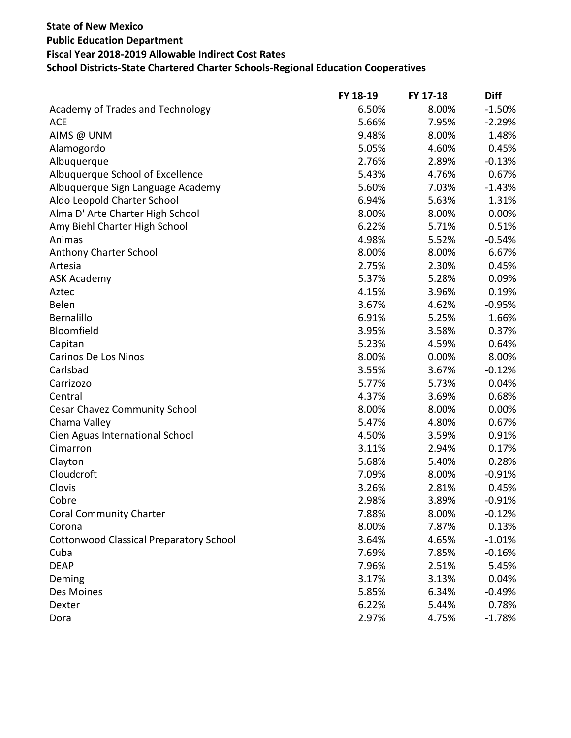|                                                | FY 18-19 | FY 17-18 | <b>Diff</b> |
|------------------------------------------------|----------|----------|-------------|
| Academy of Trades and Technology               | 6.50%    | 8.00%    | $-1.50%$    |
| <b>ACE</b>                                     | 5.66%    | 7.95%    | $-2.29%$    |
| AIMS @ UNM                                     | 9.48%    | 8.00%    | 1.48%       |
| Alamogordo                                     | 5.05%    | 4.60%    | 0.45%       |
| Albuquerque                                    | 2.76%    | 2.89%    | $-0.13%$    |
| Albuquerque School of Excellence               | 5.43%    | 4.76%    | 0.67%       |
| Albuquerque Sign Language Academy              | 5.60%    | 7.03%    | $-1.43%$    |
| Aldo Leopold Charter School                    | 6.94%    | 5.63%    | 1.31%       |
| Alma D' Arte Charter High School               | 8.00%    | 8.00%    | 0.00%       |
| Amy Biehl Charter High School                  | 6.22%    | 5.71%    | 0.51%       |
| Animas                                         | 4.98%    | 5.52%    | $-0.54%$    |
| Anthony Charter School                         | 8.00%    | 8.00%    | 6.67%       |
| Artesia                                        | 2.75%    | 2.30%    | 0.45%       |
| <b>ASK Academy</b>                             | 5.37%    | 5.28%    | 0.09%       |
| Aztec                                          | 4.15%    | 3.96%    | 0.19%       |
| Belen                                          | 3.67%    | 4.62%    | $-0.95%$    |
| Bernalillo                                     | 6.91%    | 5.25%    | 1.66%       |
| Bloomfield                                     | 3.95%    | 3.58%    | 0.37%       |
| Capitan                                        | 5.23%    | 4.59%    | 0.64%       |
| <b>Carinos De Los Ninos</b>                    | 8.00%    | 0.00%    | 8.00%       |
| Carlsbad                                       | 3.55%    | 3.67%    | $-0.12%$    |
| Carrizozo                                      | 5.77%    | 5.73%    | 0.04%       |
| Central                                        | 4.37%    | 3.69%    | 0.68%       |
| <b>Cesar Chavez Community School</b>           | 8.00%    | 8.00%    | 0.00%       |
| Chama Valley                                   | 5.47%    | 4.80%    | 0.67%       |
| Cien Aguas International School                | 4.50%    | 3.59%    | 0.91%       |
| Cimarron                                       | 3.11%    | 2.94%    | 0.17%       |
| Clayton                                        | 5.68%    | 5.40%    | 0.28%       |
| Cloudcroft                                     | 7.09%    | 8.00%    | $-0.91%$    |
| Clovis                                         | 3.26%    | 2.81%    | 0.45%       |
| Cobre                                          | 2.98%    | 3.89%    | $-0.91%$    |
| <b>Coral Community Charter</b>                 | 7.88%    | 8.00%    | $-0.12%$    |
| Corona                                         | 8.00%    | 7.87%    | 0.13%       |
| <b>Cottonwood Classical Preparatory School</b> | 3.64%    | 4.65%    | $-1.01%$    |
| Cuba                                           | 7.69%    | 7.85%    | $-0.16%$    |
| <b>DEAP</b>                                    | 7.96%    | 2.51%    | 5.45%       |
| Deming                                         | 3.17%    | 3.13%    | 0.04%       |
| Des Moines                                     | 5.85%    | 6.34%    | $-0.49%$    |
| Dexter                                         | 6.22%    | 5.44%    | 0.78%       |
| Dora                                           | 2.97%    | 4.75%    | $-1.78%$    |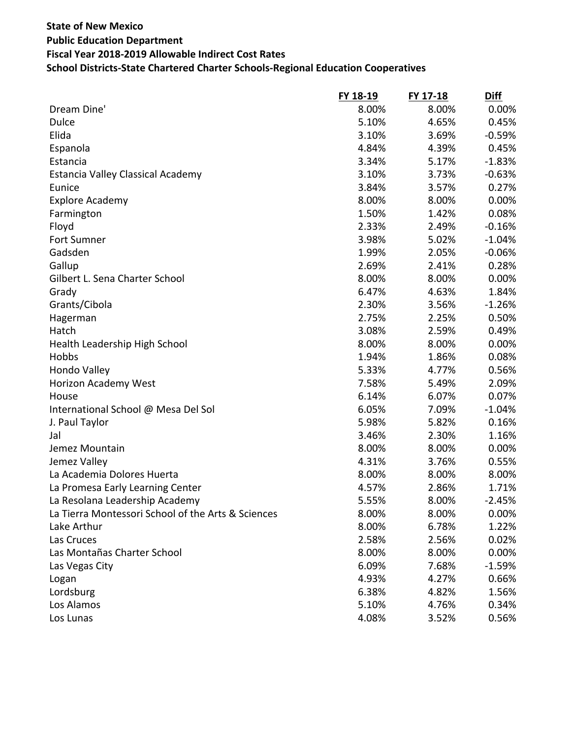|                                                    | FY 18-19 | FY 17-18 | <b>Diff</b> |
|----------------------------------------------------|----------|----------|-------------|
| Dream Dine'                                        | 8.00%    | 8.00%    | 0.00%       |
| <b>Dulce</b>                                       | 5.10%    | 4.65%    | 0.45%       |
| Elida                                              | 3.10%    | 3.69%    | $-0.59%$    |
| Espanola                                           | 4.84%    | 4.39%    | 0.45%       |
| Estancia                                           | 3.34%    | 5.17%    | $-1.83%$    |
| Estancia Valley Classical Academy                  | 3.10%    | 3.73%    | $-0.63%$    |
| Eunice                                             | 3.84%    | 3.57%    | 0.27%       |
| <b>Explore Academy</b>                             | 8.00%    | 8.00%    | 0.00%       |
| Farmington                                         | 1.50%    | 1.42%    | 0.08%       |
| Floyd                                              | 2.33%    | 2.49%    | $-0.16%$    |
| Fort Sumner                                        | 3.98%    | 5.02%    | $-1.04%$    |
| Gadsden                                            | 1.99%    | 2.05%    | $-0.06%$    |
| Gallup                                             | 2.69%    | 2.41%    | 0.28%       |
| Gilbert L. Sena Charter School                     | 8.00%    | 8.00%    | 0.00%       |
| Grady                                              | 6.47%    | 4.63%    | 1.84%       |
| Grants/Cibola                                      | 2.30%    | 3.56%    | $-1.26%$    |
| Hagerman                                           | 2.75%    | 2.25%    | 0.50%       |
| Hatch                                              | 3.08%    | 2.59%    | 0.49%       |
| Health Leadership High School                      | 8.00%    | 8.00%    | 0.00%       |
| Hobbs                                              | 1.94%    | 1.86%    | 0.08%       |
| Hondo Valley                                       | 5.33%    | 4.77%    | 0.56%       |
| Horizon Academy West                               | 7.58%    | 5.49%    | 2.09%       |
| House                                              | 6.14%    | 6.07%    | 0.07%       |
| International School @ Mesa Del Sol                | 6.05%    | 7.09%    | $-1.04%$    |
| J. Paul Taylor                                     | 5.98%    | 5.82%    | 0.16%       |
| Jal                                                | 3.46%    | 2.30%    | 1.16%       |
| Jemez Mountain                                     | 8.00%    | 8.00%    | 0.00%       |
| Jemez Valley                                       | 4.31%    | 3.76%    | 0.55%       |
| La Academia Dolores Huerta                         | 8.00%    | 8.00%    | 8.00%       |
| La Promesa Early Learning Center                   | 4.57%    | 2.86%    | 1.71%       |
| La Resolana Leadership Academy                     | 5.55%    | 8.00%    | $-2.45%$    |
| La Tierra Montessori School of the Arts & Sciences | 8.00%    | 8.00%    | 0.00%       |
| Lake Arthur                                        | 8.00%    | 6.78%    | 1.22%       |
| Las Cruces                                         | 2.58%    | 2.56%    | 0.02%       |
| Las Montañas Charter School                        | 8.00%    | 8.00%    | 0.00%       |
| Las Vegas City                                     | 6.09%    | 7.68%    | $-1.59%$    |
| Logan                                              | 4.93%    | 4.27%    | 0.66%       |
| Lordsburg                                          | 6.38%    | 4.82%    | 1.56%       |
| Los Alamos                                         | 5.10%    | 4.76%    | 0.34%       |
| Los Lunas                                          | 4.08%    | 3.52%    | 0.56%       |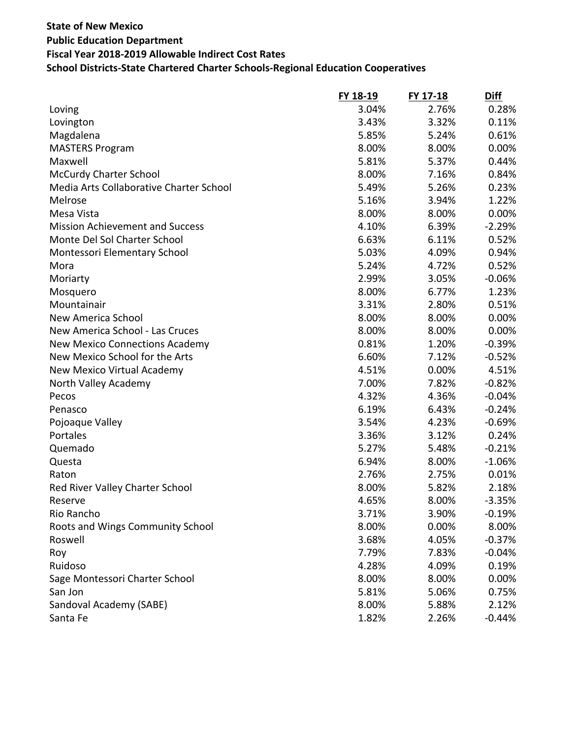|                                         | FY 18-19 | FY 17-18 | <b>Diff</b> |
|-----------------------------------------|----------|----------|-------------|
| Loving                                  | 3.04%    | 2.76%    | 0.28%       |
| Lovington                               | 3.43%    | 3.32%    | 0.11%       |
| Magdalena                               | 5.85%    | 5.24%    | 0.61%       |
| <b>MASTERS Program</b>                  | 8.00%    | 8.00%    | 0.00%       |
| Maxwell                                 | 5.81%    | 5.37%    | 0.44%       |
| <b>McCurdy Charter School</b>           | 8.00%    | 7.16%    | 0.84%       |
| Media Arts Collaborative Charter School | 5.49%    | 5.26%    | 0.23%       |
| Melrose                                 | 5.16%    | 3.94%    | 1.22%       |
| Mesa Vista                              | 8.00%    | 8.00%    | 0.00%       |
| <b>Mission Achievement and Success</b>  | 4.10%    | 6.39%    | $-2.29%$    |
| Monte Del Sol Charter School            | 6.63%    | 6.11%    | 0.52%       |
| Montessori Elementary School            | 5.03%    | 4.09%    | 0.94%       |
| Mora                                    | 5.24%    | 4.72%    | 0.52%       |
| Moriarty                                | 2.99%    | 3.05%    | $-0.06%$    |
| Mosquero                                | 8.00%    | 6.77%    | 1.23%       |
| Mountainair                             | 3.31%    | 2.80%    | 0.51%       |
| New America School                      | 8.00%    | 8.00%    | 0.00%       |
| New America School - Las Cruces         | 8.00%    | 8.00%    | 0.00%       |
| <b>New Mexico Connections Academy</b>   | 0.81%    | 1.20%    | $-0.39%$    |
| New Mexico School for the Arts          | 6.60%    | 7.12%    | $-0.52%$    |
| New Mexico Virtual Academy              | 4.51%    | 0.00%    | 4.51%       |
| North Valley Academy                    | 7.00%    | 7.82%    | $-0.82%$    |
| Pecos                                   | 4.32%    | 4.36%    | $-0.04%$    |
| Penasco                                 | 6.19%    | 6.43%    | $-0.24%$    |
| Pojoaque Valley                         | 3.54%    | 4.23%    | $-0.69%$    |
| Portales                                | 3.36%    | 3.12%    | 0.24%       |
| Quemado                                 | 5.27%    | 5.48%    | $-0.21%$    |
| Questa                                  | 6.94%    | 8.00%    | $-1.06%$    |
| Raton                                   | 2.76%    | 2.75%    | 0.01%       |
| Red River Valley Charter School         | 8.00%    | 5.82%    | 2.18%       |
| Reserve                                 | 4.65%    | 8.00%    | $-3.35%$    |
| Rio Rancho                              | 3.71%    | 3.90%    | $-0.19%$    |
| Roots and Wings Community School        | 8.00%    | 0.00%    | 8.00%       |
| Roswell                                 | 3.68%    | 4.05%    | $-0.37%$    |
| Roy                                     | 7.79%    | 7.83%    | $-0.04%$    |
| Ruidoso                                 | 4.28%    | 4.09%    | 0.19%       |
| Sage Montessori Charter School          | 8.00%    | 8.00%    | 0.00%       |
| San Jon                                 | 5.81%    | 5.06%    | 0.75%       |
| Sandoval Academy (SABE)                 | 8.00%    | 5.88%    | 2.12%       |
| Santa Fe                                | 1.82%    | 2.26%    | $-0.44%$    |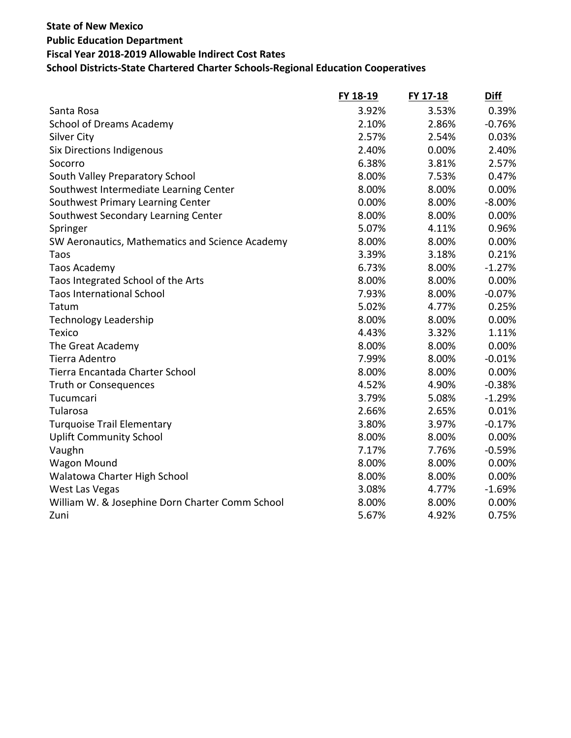|                                                 | FY 18-19 | FY 17-18 | <b>Diff</b> |
|-------------------------------------------------|----------|----------|-------------|
| Santa Rosa                                      | 3.92%    | 3.53%    | 0.39%       |
| <b>School of Dreams Academy</b>                 | 2.10%    | 2.86%    | $-0.76%$    |
| <b>Silver City</b>                              | 2.57%    | 2.54%    | 0.03%       |
| <b>Six Directions Indigenous</b>                | 2.40%    | 0.00%    | 2.40%       |
| Socorro                                         | 6.38%    | 3.81%    | 2.57%       |
| South Valley Preparatory School                 | 8.00%    | 7.53%    | 0.47%       |
| Southwest Intermediate Learning Center          | 8.00%    | 8.00%    | 0.00%       |
| Southwest Primary Learning Center               | 0.00%    | 8.00%    | $-8.00%$    |
| Southwest Secondary Learning Center             | 8.00%    | 8.00%    | 0.00%       |
| Springer                                        | 5.07%    | 4.11%    | 0.96%       |
| SW Aeronautics, Mathematics and Science Academy | 8.00%    | 8.00%    | 0.00%       |
| Taos                                            | 3.39%    | 3.18%    | 0.21%       |
| Taos Academy                                    | 6.73%    | 8.00%    | $-1.27%$    |
| Taos Integrated School of the Arts              | 8.00%    | 8.00%    | 0.00%       |
| <b>Taos International School</b>                | 7.93%    | 8.00%    | $-0.07%$    |
| Tatum                                           | 5.02%    | 4.77%    | 0.25%       |
| <b>Technology Leadership</b>                    | 8.00%    | 8.00%    | 0.00%       |
| Texico                                          | 4.43%    | 3.32%    | 1.11%       |
| The Great Academy                               | 8.00%    | 8.00%    | 0.00%       |
| Tierra Adentro                                  | 7.99%    | 8.00%    | $-0.01%$    |
| Tierra Encantada Charter School                 | 8.00%    | 8.00%    | 0.00%       |
| <b>Truth or Consequences</b>                    | 4.52%    | 4.90%    | $-0.38%$    |
| Tucumcari                                       | 3.79%    | 5.08%    | $-1.29%$    |
| Tularosa                                        | 2.66%    | 2.65%    | 0.01%       |
| <b>Turquoise Trail Elementary</b>               | 3.80%    | 3.97%    | $-0.17%$    |
| <b>Uplift Community School</b>                  | 8.00%    | 8.00%    | 0.00%       |
| Vaughn                                          | 7.17%    | 7.76%    | $-0.59%$    |
| <b>Wagon Mound</b>                              | 8.00%    | 8.00%    | 0.00%       |
| Walatowa Charter High School                    | 8.00%    | 8.00%    | 0.00%       |
| West Las Vegas                                  | 3.08%    | 4.77%    | $-1.69%$    |
| William W. & Josephine Dorn Charter Comm School | 8.00%    | 8.00%    | 0.00%       |
| Zuni                                            | 5.67%    | 4.92%    | 0.75%       |